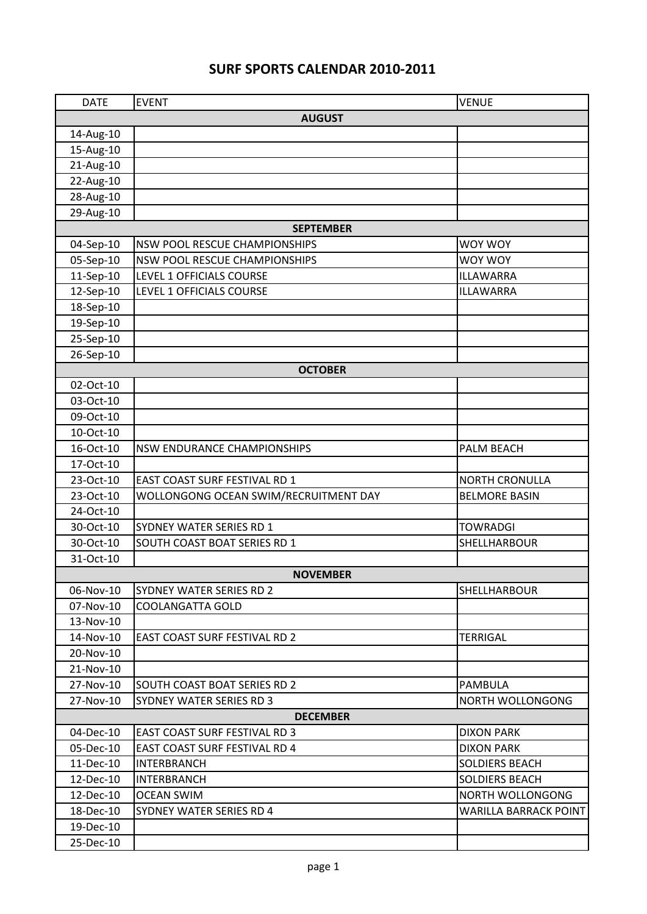## **SURF SPORTS CALENDAR 2010-2011**

| <b>DATE</b>   | <b>EVENT</b>                          | <b>VENUE</b>            |  |  |
|---------------|---------------------------------------|-------------------------|--|--|
| <b>AUGUST</b> |                                       |                         |  |  |
| 14-Aug-10     |                                       |                         |  |  |
| 15-Aug-10     |                                       |                         |  |  |
| 21-Aug-10     |                                       |                         |  |  |
| 22-Aug-10     |                                       |                         |  |  |
| 28-Aug-10     |                                       |                         |  |  |
| 29-Aug-10     |                                       |                         |  |  |
|               | <b>SEPTEMBER</b>                      |                         |  |  |
| 04-Sep-10     | <b>NSW POOL RESCUE CHAMPIONSHIPS</b>  | <b>WOY WOY</b>          |  |  |
| 05-Sep-10     | <b>NSW POOL RESCUE CHAMPIONSHIPS</b>  | <b>WOY WOY</b>          |  |  |
| 11-Sep-10     | LEVEL 1 OFFICIALS COURSE              | <b>ILLAWARRA</b>        |  |  |
| 12-Sep-10     | LEVEL 1 OFFICIALS COURSE              | ILLAWARRA               |  |  |
| 18-Sep-10     |                                       |                         |  |  |
| 19-Sep-10     |                                       |                         |  |  |
| 25-Sep-10     |                                       |                         |  |  |
| 26-Sep-10     |                                       |                         |  |  |
|               | <b>OCTOBER</b>                        |                         |  |  |
| 02-Oct-10     |                                       |                         |  |  |
| 03-Oct-10     |                                       |                         |  |  |
| 09-Oct-10     |                                       |                         |  |  |
| 10-Oct-10     |                                       |                         |  |  |
| 16-Oct-10     | <b>NSW ENDURANCE CHAMPIONSHIPS</b>    | PALM BEACH              |  |  |
| 17-Oct-10     |                                       |                         |  |  |
| 23-Oct-10     | EAST COAST SURF FESTIVAL RD 1         | <b>NORTH CRONULLA</b>   |  |  |
| 23-Oct-10     | WOLLONGONG OCEAN SWIM/RECRUITMENT DAY | <b>BELMORE BASIN</b>    |  |  |
| 24-Oct-10     |                                       |                         |  |  |
| 30-Oct-10     | SYDNEY WATER SERIES RD 1              | <b>TOWRADGI</b>         |  |  |
| 30-Oct-10     | <b>SOUTH COAST BOAT SERIES RD 1</b>   | SHELLHARBOUR            |  |  |
| 31-Oct-10     |                                       |                         |  |  |
|               | <b>NOVEMBER</b>                       |                         |  |  |
| 06-Nov-10     | SYDNEY WATER SERIES RD 2              | SHELLHARBOUR            |  |  |
| 07-Nov-10     | <b>COOLANGATTA GOLD</b>               |                         |  |  |
| 13-Nov-10     |                                       |                         |  |  |
| 14-Nov-10     | <b>EAST COAST SURF FESTIVAL RD 2</b>  | <b>TERRIGAL</b>         |  |  |
| 20-Nov-10     |                                       |                         |  |  |
| 21-Nov-10     |                                       |                         |  |  |
| 27-Nov-10     | <b>SOUTH COAST BOAT SERIES RD 2</b>   | <b>PAMBULA</b>          |  |  |
| 27-Nov-10     | SYDNEY WATER SERIES RD 3              | <b>NORTH WOLLONGONG</b> |  |  |
|               | <b>DECEMBER</b>                       |                         |  |  |
| 04-Dec-10     | <b>EAST COAST SURF FESTIVAL RD 3</b>  | <b>DIXON PARK</b>       |  |  |
| 05-Dec-10     | <b>EAST COAST SURF FESTIVAL RD 4</b>  | <b>DIXON PARK</b>       |  |  |
| 11-Dec-10     | <b>INTERBRANCH</b>                    | <b>SOLDIERS BEACH</b>   |  |  |
| 12-Dec-10     | <b>INTERBRANCH</b>                    | <b>SOLDIERS BEACH</b>   |  |  |
| 12-Dec-10     | <b>OCEAN SWIM</b>                     | NORTH WOLLONGONG        |  |  |
| 18-Dec-10     | SYDNEY WATER SERIES RD 4              | WARILLA BARRACK POINT   |  |  |
| 19-Dec-10     |                                       |                         |  |  |
| 25-Dec-10     |                                       |                         |  |  |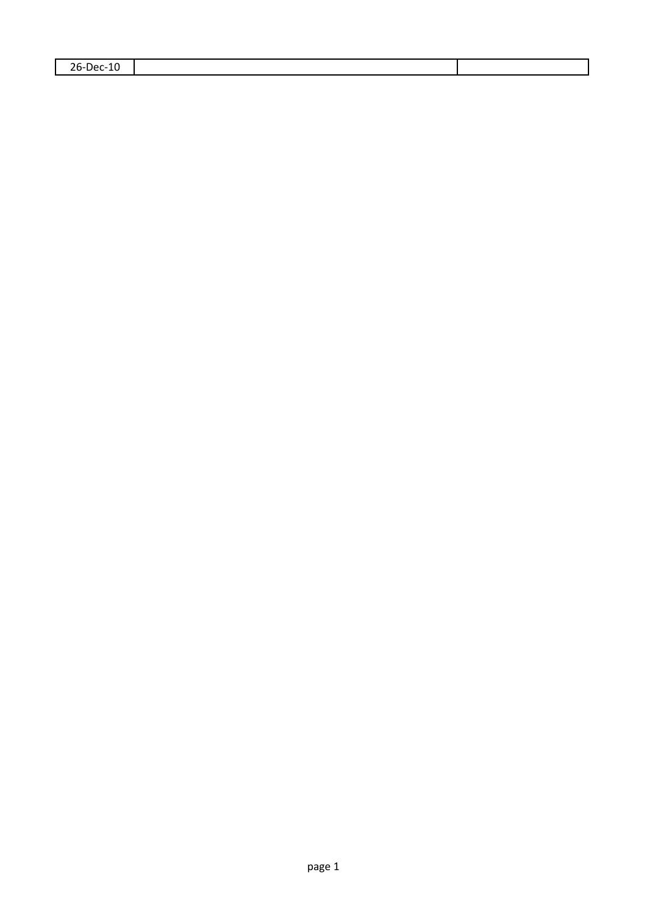| $26-1$<br>ിലെ 1<br>1 L<br>. .<br>$    -$<br>--<br>__ |  |
|------------------------------------------------------|--|
|                                                      |  |